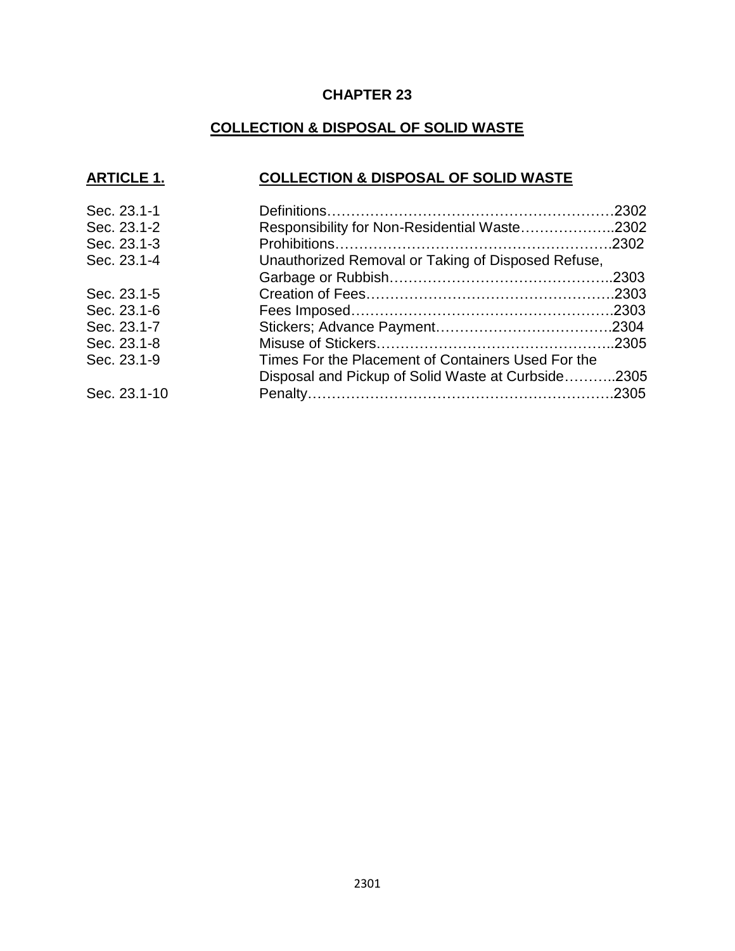### **CHAPTER 23**

### **COLLECTION & DISPOSAL OF SOLID WASTE**

### **ARTICLE 1. COLLECTION & DISPOSAL OF SOLID WASTE**

| Sec. 23.1-1                                                       |  |
|-------------------------------------------------------------------|--|
| Sec. 23.1-2<br>Responsibility for Non-Residential Waste2302       |  |
| Sec. 23.1-3                                                       |  |
| Unauthorized Removal or Taking of Disposed Refuse,<br>Sec. 23.1-4 |  |
|                                                                   |  |
| Sec. 23.1-5                                                       |  |
| Sec. 23.1-6                                                       |  |
| Sec. 23.1-7                                                       |  |
| Sec. 23.1-8                                                       |  |
| Sec. 23.1-9<br>Times For the Placement of Containers Used For the |  |
| Disposal and Pickup of Solid Waste at Curbside2305                |  |
| Sec. 23.1-10                                                      |  |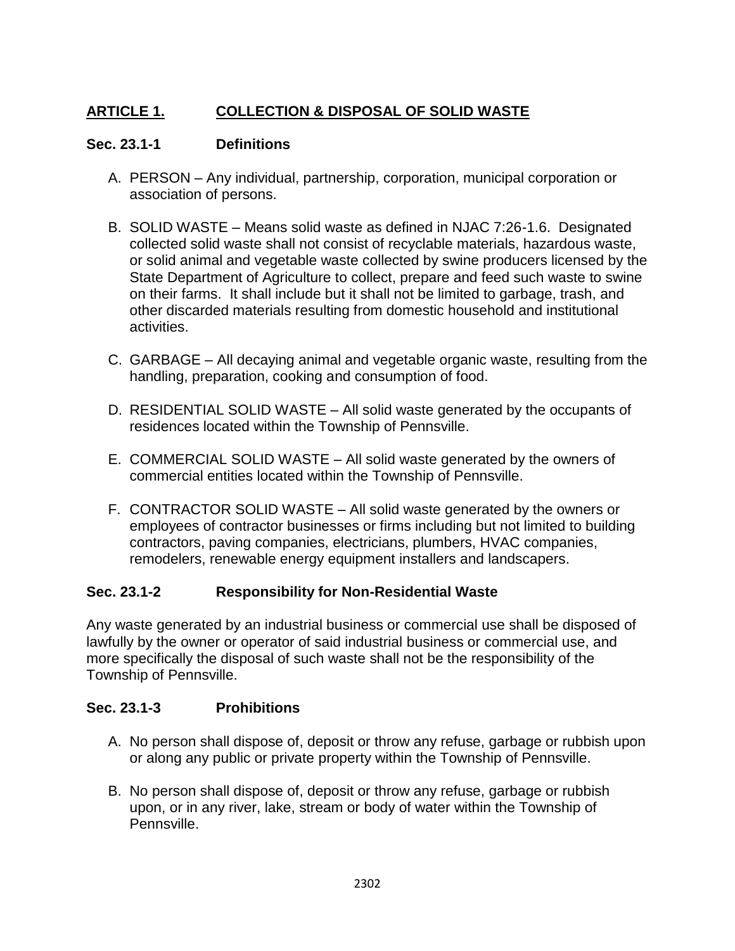# **ARTICLE 1. COLLECTION & DISPOSAL OF SOLID WASTE**

### **Sec. 23.1-1 Definitions**

- A. PERSON Any individual, partnership, corporation, municipal corporation or association of persons.
- B. SOLID WASTE Means solid waste as defined in NJAC 7:26-1.6. Designated collected solid waste shall not consist of recyclable materials, hazardous waste, or solid animal and vegetable waste collected by swine producers licensed by the State Department of Agriculture to collect, prepare and feed such waste to swine on their farms. It shall include but it shall not be limited to garbage, trash, and other discarded materials resulting from domestic household and institutional activities.
- C. GARBAGE All decaying animal and vegetable organic waste, resulting from the handling, preparation, cooking and consumption of food.
- D. RESIDENTIAL SOLID WASTE All solid waste generated by the occupants of residences located within the Township of Pennsville.
- E. COMMERCIAL SOLID WASTE All solid waste generated by the owners of commercial entities located within the Township of Pennsville.
- F. CONTRACTOR SOLID WASTE All solid waste generated by the owners or employees of contractor businesses or firms including but not limited to building contractors, paving companies, electricians, plumbers, HVAC companies, remodelers, renewable energy equipment installers and landscapers.

## **Sec. 23.1-2 Responsibility for Non-Residential Waste**

Any waste generated by an industrial business or commercial use shall be disposed of lawfully by the owner or operator of said industrial business or commercial use, and more specifically the disposal of such waste shall not be the responsibility of the Township of Pennsville.

### **Sec. 23.1-3 Prohibitions**

- A. No person shall dispose of, deposit or throw any refuse, garbage or rubbish upon or along any public or private property within the Township of Pennsville.
- B. No person shall dispose of, deposit or throw any refuse, garbage or rubbish upon, or in any river, lake, stream or body of water within the Township of Pennsville.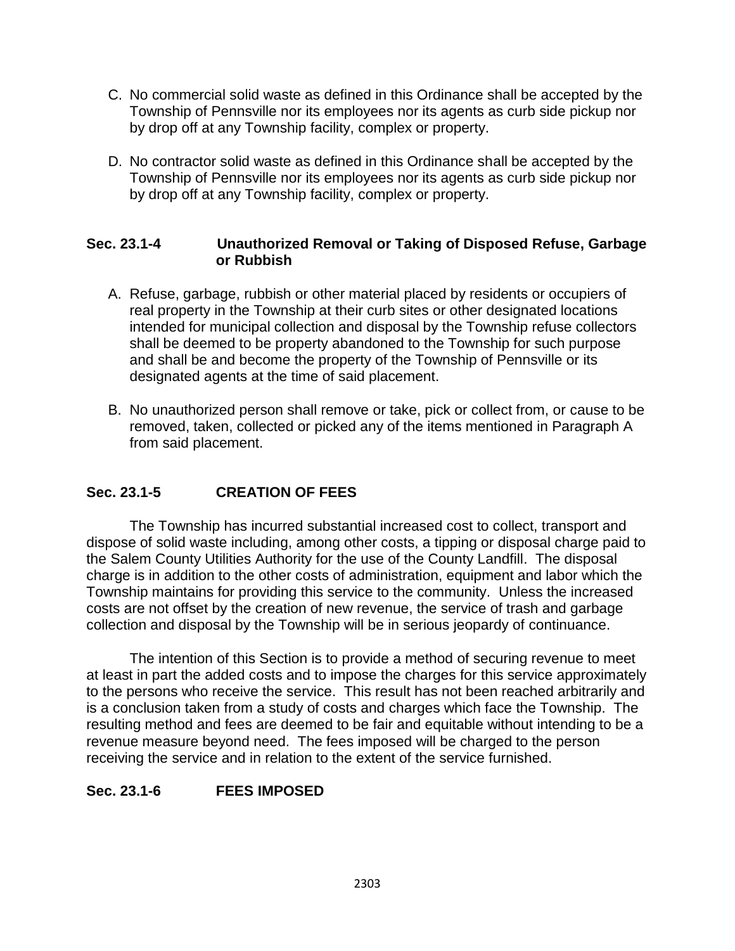- C. No commercial solid waste as defined in this Ordinance shall be accepted by the Township of Pennsville nor its employees nor its agents as curb side pickup nor by drop off at any Township facility, complex or property.
- D. No contractor solid waste as defined in this Ordinance shall be accepted by the Township of Pennsville nor its employees nor its agents as curb side pickup nor by drop off at any Township facility, complex or property.

#### **Sec. 23.1-4 Unauthorized Removal or Taking of Disposed Refuse, Garbage or Rubbish**

- A. Refuse, garbage, rubbish or other material placed by residents or occupiers of real property in the Township at their curb sites or other designated locations intended for municipal collection and disposal by the Township refuse collectors shall be deemed to be property abandoned to the Township for such purpose and shall be and become the property of the Township of Pennsville or its designated agents at the time of said placement.
- B. No unauthorized person shall remove or take, pick or collect from, or cause to be removed, taken, collected or picked any of the items mentioned in Paragraph A from said placement.

### **Sec. 23.1-5 CREATION OF FEES**

The Township has incurred substantial increased cost to collect, transport and dispose of solid waste including, among other costs, a tipping or disposal charge paid to the Salem County Utilities Authority for the use of the County Landfill. The disposal charge is in addition to the other costs of administration, equipment and labor which the Township maintains for providing this service to the community. Unless the increased costs are not offset by the creation of new revenue, the service of trash and garbage collection and disposal by the Township will be in serious jeopardy of continuance.

The intention of this Section is to provide a method of securing revenue to meet at least in part the added costs and to impose the charges for this service approximately to the persons who receive the service. This result has not been reached arbitrarily and is a conclusion taken from a study of costs and charges which face the Township. The resulting method and fees are deemed to be fair and equitable without intending to be a revenue measure beyond need. The fees imposed will be charged to the person receiving the service and in relation to the extent of the service furnished.

#### **Sec. 23.1-6 FEES IMPOSED**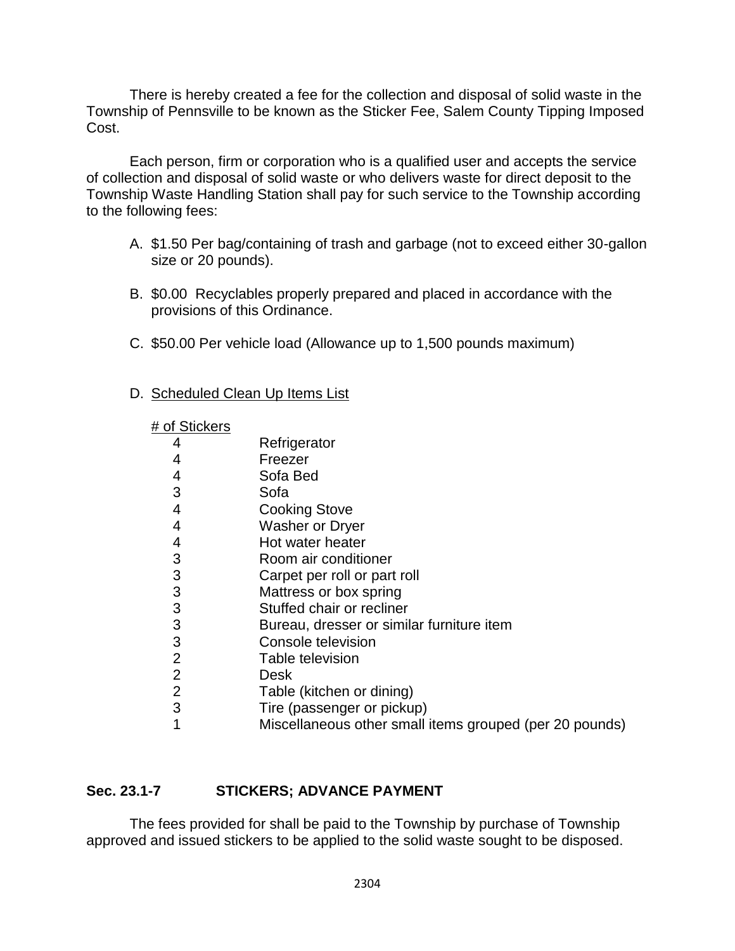There is hereby created a fee for the collection and disposal of solid waste in the Township of Pennsville to be known as the Sticker Fee, Salem County Tipping Imposed Cost.

Each person, firm or corporation who is a qualified user and accepts the service of collection and disposal of solid waste or who delivers waste for direct deposit to the Township Waste Handling Station shall pay for such service to the Township according to the following fees:

- A. \$1.50 Per bag/containing of trash and garbage (not to exceed either 30-gallon size or 20 pounds).
- B. \$0.00 Recyclables properly prepared and placed in accordance with the provisions of this Ordinance.
- C. \$50.00 Per vehicle load (Allowance up to 1,500 pounds maximum)
- D. Scheduled Clean Up Items List

| # of Stickers  |                                                         |
|----------------|---------------------------------------------------------|
| 4              | Refrigerator                                            |
| 4              | Freezer                                                 |
| 4              | Sofa Bed                                                |
| 3              | Sofa                                                    |
| 4              | <b>Cooking Stove</b>                                    |
| 4              | <b>Washer or Dryer</b>                                  |
| 4              | Hot water heater                                        |
| 3              | Room air conditioner                                    |
| 3              | Carpet per roll or part roll                            |
| 3              | Mattress or box spring                                  |
| 3              | Stuffed chair or recliner                               |
| 3              | Bureau, dresser or similar furniture item               |
| 3              | Console television                                      |
| $\overline{2}$ | Table television                                        |
| $\overline{2}$ | Desk                                                    |
| $\overline{2}$ | Table (kitchen or dining)                               |
| 3              | Tire (passenger or pickup)                              |
|                | Miscellaneous other small items grouped (per 20 pounds) |

#### **Sec. 23.1-7 STICKERS; ADVANCE PAYMENT**

The fees provided for shall be paid to the Township by purchase of Township approved and issued stickers to be applied to the solid waste sought to be disposed.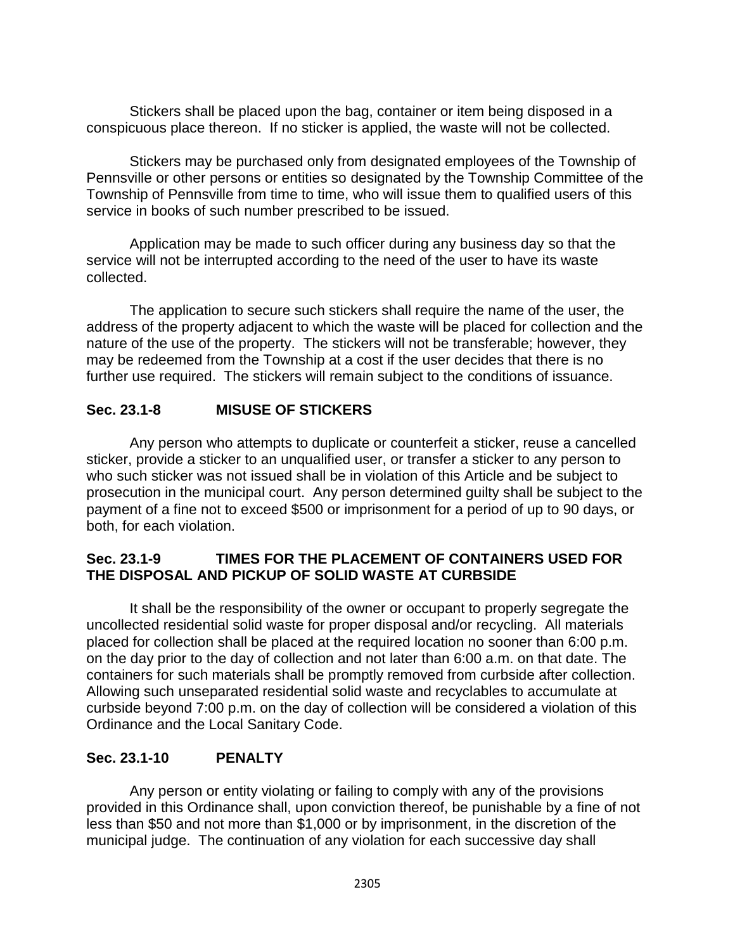Stickers shall be placed upon the bag, container or item being disposed in a conspicuous place thereon. If no sticker is applied, the waste will not be collected.

Stickers may be purchased only from designated employees of the Township of Pennsville or other persons or entities so designated by the Township Committee of the Township of Pennsville from time to time, who will issue them to qualified users of this service in books of such number prescribed to be issued.

Application may be made to such officer during any business day so that the service will not be interrupted according to the need of the user to have its waste collected.

The application to secure such stickers shall require the name of the user, the address of the property adjacent to which the waste will be placed for collection and the nature of the use of the property. The stickers will not be transferable; however, they may be redeemed from the Township at a cost if the user decides that there is no further use required. The stickers will remain subject to the conditions of issuance.

### **Sec. 23.1-8 MISUSE OF STICKERS**

Any person who attempts to duplicate or counterfeit a sticker, reuse a cancelled sticker, provide a sticker to an unqualified user, or transfer a sticker to any person to who such sticker was not issued shall be in violation of this Article and be subject to prosecution in the municipal court. Any person determined guilty shall be subject to the payment of a fine not to exceed \$500 or imprisonment for a period of up to 90 days, or both, for each violation.

### **Sec. 23.1-9 TIMES FOR THE PLACEMENT OF CONTAINERS USED FOR THE DISPOSAL AND PICKUP OF SOLID WASTE AT CURBSIDE**

It shall be the responsibility of the owner or occupant to properly segregate the uncollected residential solid waste for proper disposal and/or recycling. All materials placed for collection shall be placed at the required location no sooner than 6:00 p.m. on the day prior to the day of collection and not later than 6:00 a.m. on that date. The containers for such materials shall be promptly removed from curbside after collection. Allowing such unseparated residential solid waste and recyclables to accumulate at curbside beyond 7:00 p.m. on the day of collection will be considered a violation of this Ordinance and the Local Sanitary Code.

### **Sec. 23.1-10 PENALTY**

Any person or entity violating or failing to comply with any of the provisions provided in this Ordinance shall, upon conviction thereof, be punishable by a fine of not less than \$50 and not more than \$1,000 or by imprisonment, in the discretion of the municipal judge. The continuation of any violation for each successive day shall